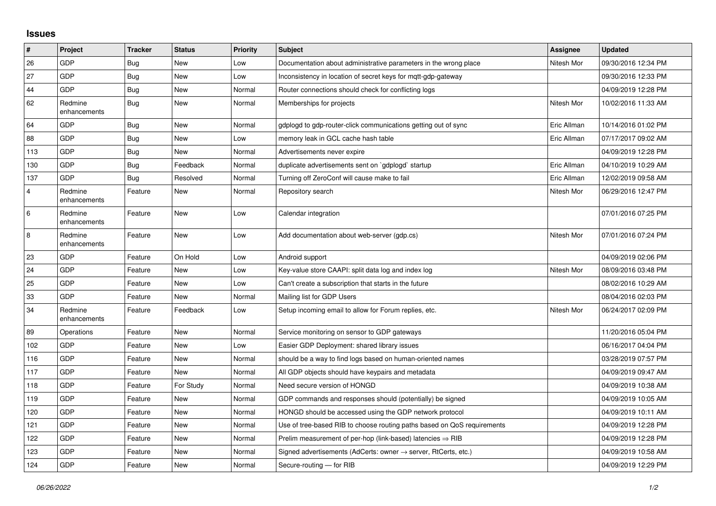## **Issues**

| $\vert$ #      | <b>Project</b>          | <b>Tracker</b> | <b>Status</b> | <b>Priority</b> | <b>Subject</b>                                                          | Assignee    | <b>Updated</b>      |
|----------------|-------------------------|----------------|---------------|-----------------|-------------------------------------------------------------------------|-------------|---------------------|
| 26             | GDP                     | Bug            | <b>New</b>    | Low             | Documentation about administrative parameters in the wrong place        | Nitesh Mor  | 09/30/2016 12:34 PM |
| 27             | GDP                     | <b>Bug</b>     | New           | Low             | Inconsistency in location of secret keys for mgtt-gdp-gateway           |             | 09/30/2016 12:33 PM |
| 44             | GDP                     | <b>Bug</b>     | New           | Normal          | Router connections should check for conflicting logs                    |             | 04/09/2019 12:28 PM |
| 62             | Redmine<br>enhancements | Bug            | New           | Normal          | Memberships for projects                                                | Nitesh Mor  | 10/02/2016 11:33 AM |
| 64             | GDP                     | Bug            | New           | Normal          | gdplogd to gdp-router-click communications getting out of sync          | Eric Allman | 10/14/2016 01:02 PM |
| 88             | GDP                     | Bug            | <b>New</b>    | Low             | memory leak in GCL cache hash table                                     | Eric Allman | 07/17/2017 09:02 AM |
| 113            | GDP                     | <b>Bug</b>     | <b>New</b>    | Normal          | Advertisements never expire                                             |             | 04/09/2019 12:28 PM |
| 130            | GDP                     | <b>Bug</b>     | Feedback      | Normal          | duplicate advertisements sent on `gdplogd` startup                      | Eric Allman | 04/10/2019 10:29 AM |
| 137            | GDP                     | Bug            | Resolved      | Normal          | Turning off ZeroConf will cause make to fail                            | Eric Allman | 12/02/2019 09:58 AM |
| $\overline{4}$ | Redmine<br>enhancements | Feature        | New           | Normal          | Repository search                                                       | Nitesh Mor  | 06/29/2016 12:47 PM |
| 6              | Redmine<br>enhancements | Feature        | <b>New</b>    | Low             | Calendar integration                                                    |             | 07/01/2016 07:25 PM |
| 8              | Redmine<br>enhancements | Feature        | New           | Low             | Add documentation about web-server (gdp.cs)                             | Nitesh Mor  | 07/01/2016 07:24 PM |
| 23             | GDP                     | Feature        | On Hold       | Low             | Android support                                                         |             | 04/09/2019 02:06 PM |
| 24             | GDP                     | Feature        | <b>New</b>    | Low             | Key-value store CAAPI: split data log and index log                     | Nitesh Mor  | 08/09/2016 03:48 PM |
| 25             | GDP                     | Feature        | New           | Low             | Can't create a subscription that starts in the future                   |             | 08/02/2016 10:29 AM |
| 33             | GDP                     | Feature        | New           | Normal          | Mailing list for GDP Users                                              |             | 08/04/2016 02:03 PM |
| 34             | Redmine<br>enhancements | Feature        | Feedback      | Low             | Setup incoming email to allow for Forum replies, etc.                   | Nitesh Mor  | 06/24/2017 02:09 PM |
| 89             | Operations              | Feature        | <b>New</b>    | Normal          | Service monitoring on sensor to GDP gateways                            |             | 11/20/2016 05:04 PM |
| 102            | GDP                     | Feature        | New           | Low             | Easier GDP Deployment: shared library issues                            |             | 06/16/2017 04:04 PM |
| 116            | GDP                     | Feature        | <b>New</b>    | Normal          | should be a way to find logs based on human-oriented names              |             | 03/28/2019 07:57 PM |
| 117            | GDP                     | Feature        | <b>New</b>    | Normal          | All GDP objects should have keypairs and metadata                       |             | 04/09/2019 09:47 AM |
| 118            | GDP                     | Feature        | For Study     | Normal          | Need secure version of HONGD                                            |             | 04/09/2019 10:38 AM |
| 119            | GDP                     | Feature        | New           | Normal          | GDP commands and responses should (potentially) be signed               |             | 04/09/2019 10:05 AM |
| 120            | GDP                     | Feature        | New           | Normal          | HONGD should be accessed using the GDP network protocol                 |             | 04/09/2019 10:11 AM |
| 121            | GDP                     | Feature        | New           | Normal          | Use of tree-based RIB to choose routing paths based on QoS requirements |             | 04/09/2019 12:28 PM |
| 122            | GDP                     | Feature        | New           | Normal          | Prelim measurement of per-hop (link-based) latencies $\Rightarrow$ RIB  |             | 04/09/2019 12:28 PM |
| 123            | GDP                     | Feature        | New           | Normal          | Signed advertisements (AdCerts: owner → server, RtCerts, etc.)          |             | 04/09/2019 10:58 AM |
| 124            | GDP                     | Feature        | New           | Normal          | Secure-routing - for RIB                                                |             | 04/09/2019 12:29 PM |